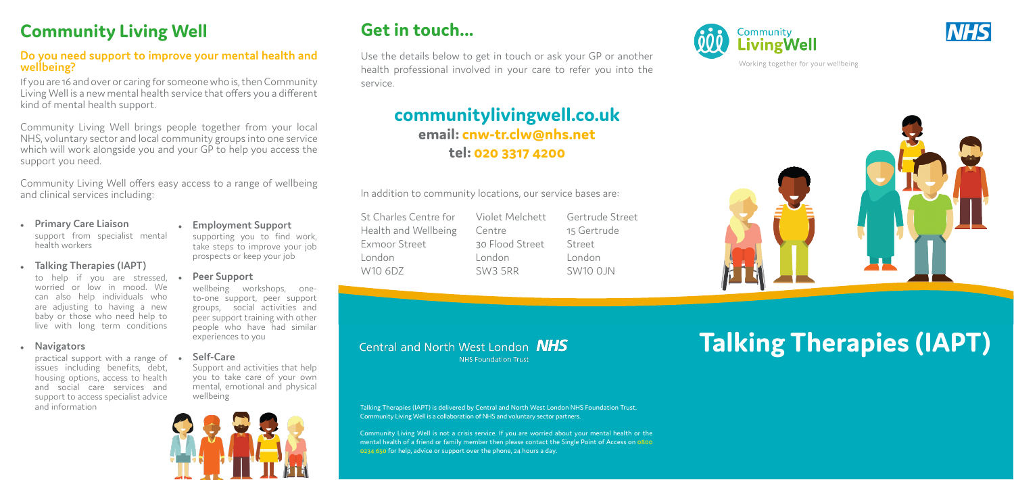# **Get in touch...**

Use the details below to get in touch or ask your GP or another health professional involved in your care to refer you into the service.

## **communitylivingwell.co.uk email: cnw-tr.clw@nhs.net tel: 020 3317 4200**

In addition to community locations, our service bases are:

# **Talking Therapies (IAPT)**

St Charles Centre for Health and Wellbeing Exmoor Street London W10 6DZ

Violet Melchett Centre 30 Flood Street London SW3 5RR

Gertrude Street 15 Gertrude Street London SW10 0JN

Talking Therapies (IAPT) is delivered by Central and North West London NHS Foundation Trust. Community Living Well is a collaboration of NHS and voluntary sector partners.

**NHS Foundation Trust** 

Central and North West London **NHS** 

Community Living Well is not a crisis service. If you are worried about your mental health or the mental health of a friend or family member then please contact the Single Point of Access on 0800 0234 650 for help, advice or support over the phone, 24 hours a day.







Working together for your wellbeing



# **Community Living Well**

#### **Do you need support to improve your mental health and wellbeing?**

practical support with a range of • issues including benefits, debt, housing options, access to health and social care services and support to access specialist advice and information

If you are 16 and over or caring for someone who is, then Community Living Well is a new mental health service that offers you a different kind of mental health support.

Community Living Well brings people together from your local NHS, voluntary sector and local community groups into one service which will work alongside you and your GP to help you access the support you need.

Community Living Well offers easy access to a range of wellbeing and clinical services including:

- **Primary Care Liaison** support from specialist mental health workers
- **Talking Therapies (IAPT)**

to help if you are stressed, worried or low in mood. We can also help individuals who are adjusting to having a new baby or those who need help to live with long term conditions

**•** Navigators

<sup>z</sup> **Employment Support**  supporting you to find work, take steps to improve your job prospects or keep your job

**Peer Support** 

wellbeing workshops, oneto-one support, peer support groups, social activities and peer support training with other people who have had similar experiences to you

<sup>z</sup> **Self-Care**

Support and activities that help you to take care of your own mental, emotional and physical wellbeing